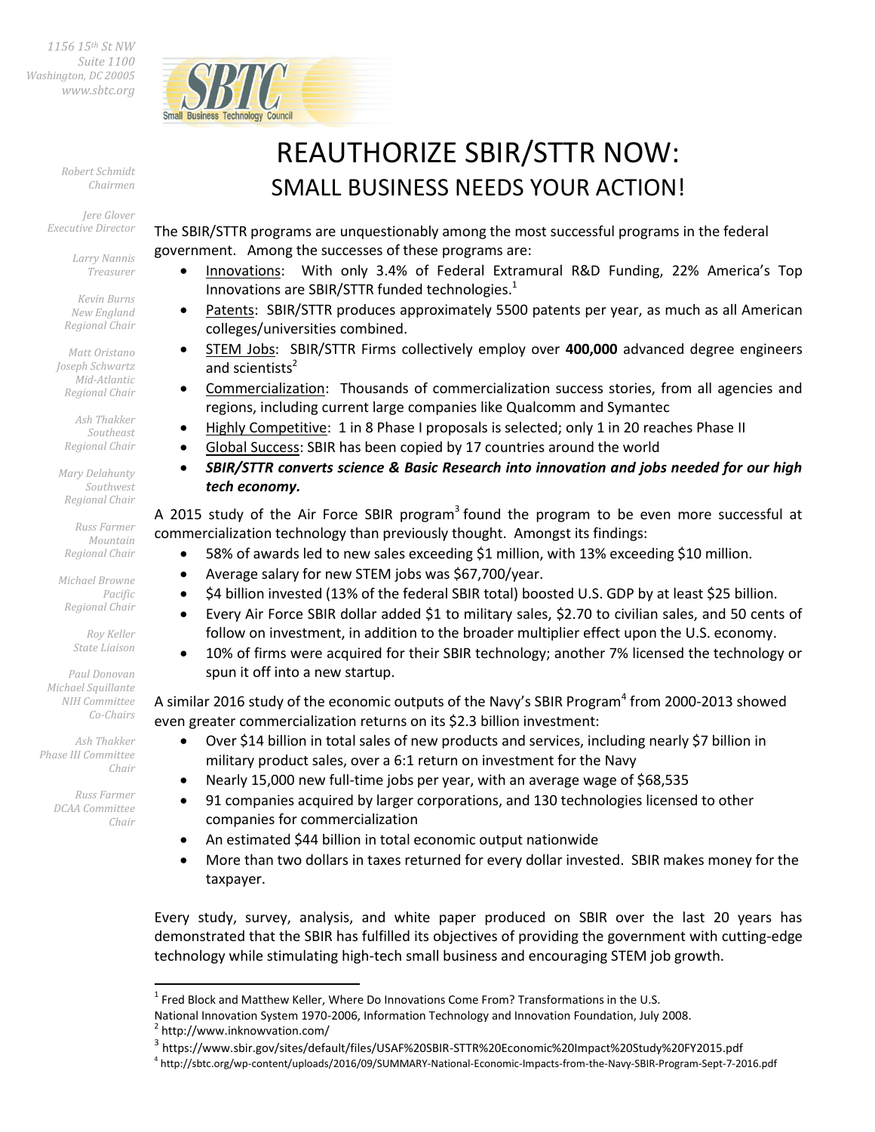*1156 15th St NW Suite 1100 Washington, DC 20005 [www.sbtc.org](http://www.sbtc.org/)* 



*Robert Schmidt Chairmen* 

*Jere Glover Executive Director* 

> *Larry Nannis Treasurer*

*Kevin Burns New England Regional Chair* 

*Matt Oristano Joseph Schwartz Mid-Atlantic Regional Chair* 

*Ash Thakker Southeast Regional Chair* 

*Mary Delahunty Southwest Regional Chair* 

*Russ Farmer Mountain Regional Chair* 

*Michael Browne Pacific Regional Chair* 

> *Roy Keller State Liaison*

*Paul Donovan Michael Squillante NIH Committee Co-Chairs* 

*Ash Thakker Phase III Committee Chair* 

> *Russ Farmer DCAA Committee Chair*

> > $\overline{\phantom{0}}$

## REAUTHORIZE SBIR/STTR NOW: SMALL BUSINESS NEEDS YOUR ACTION!

The SBIR/STTR programs are unquestionably among the most successful programs in the federal government. Among the successes of these programs are:

- Innovations: With only 3.4% of Federal Extramural R&D Funding, 22% America's Top Innovations are SBIR/STTR funded technologies. $<sup>1</sup>$ </sup>
- Patents: SBIR/STTR produces approximately 5500 patents per year, as much as all American colleges/universities combined.
- STEM Jobs: SBIR/STTR Firms collectively employ over **400,000** advanced degree engineers and scientists<sup>2</sup>
- Commercialization: Thousands of commercialization success stories, from all agencies and regions, including current large companies like Qualcomm and Symantec
- Highly Competitive: 1 in 8 Phase I proposals is selected; only 1 in 20 reaches Phase II
- Global Success: SBIR has been copied by 17 countries around the world
- *SBIR/STTR converts science & Basic Research into innovation and jobs needed for our high tech economy.*

A 2015 study of the Air Force SBIR program<sup>3</sup> found the program to be even more successful at commercialization technology than previously thought. Amongst its findings:

- 58% of awards led to new sales exceeding \$1 million, with 13% exceeding \$10 million.
- Average salary for new STEM jobs was \$67,700/year.
- \$4 billion invested (13% of the federal SBIR total) boosted U.S. GDP by at least \$25 billion.
- Every Air Force SBIR dollar added \$1 to military sales, \$2.70 to civilian sales, and 50 cents of follow on investment, in addition to the broader multiplier effect upon the U.S. economy.
- 10% of firms were acquired for their SBIR technology; another 7% licensed the technology or spun it off into a new startup.

A similar 2016 study of the economic outputs of the Navy's SBIR Program<sup>4</sup> from 2000-2013 showed even greater commercialization returns on its \$2.3 billion investment:

- Over \$14 billion in total sales of new products and services, including nearly \$7 billion in military product sales, over a 6:1 return on investment for the Navy
- Nearly 15,000 new full-time jobs per year, with an average wage of \$68,535
- 91 companies acquired by larger corporations, and 130 technologies licensed to other companies for commercialization
- An estimated \$44 billion in total economic output nationwide
- More than two dollars in taxes returned for every dollar invested. SBIR makes money for the taxpayer.

Every study, survey, analysis, and white paper produced on SBIR over the last 20 years has demonstrated that the SBIR has fulfilled its objectives of providing the government with cutting-edge technology while stimulating high-tech small business and encouraging STEM job growth.

4 http://sbtc.org/wp-content/uploads/2016/09/SUMMARY-National-Economic-Impacts-from-the-Navy-SBIR-Program-Sept-7-2016.pdf

 $^1$  Fred Block and Matthew Keller, Where Do Innovations Come From? Transformations in the U.S.

National Innovation System 1970-2006, Information Technology and Innovation Foundation, July 2008.

<sup>2</sup> http://www.inknowvation.com/

<sup>&</sup>lt;sup>3</sup> https://www.sbir.gov/sites/default/files/USAF%20SBIR-STTR%20Economic%20Impact%20Study%20FY2015.pdf